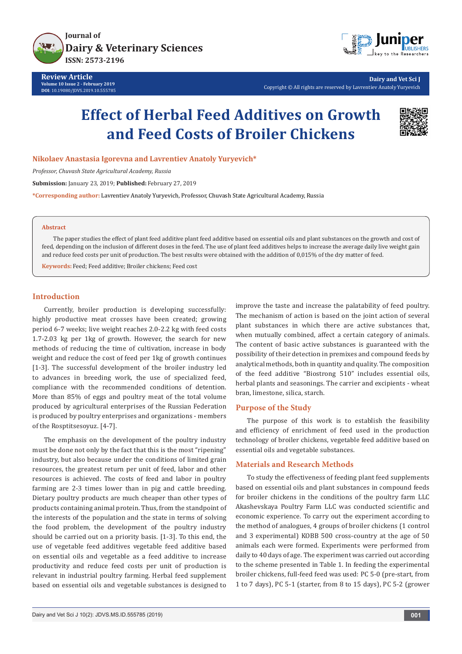



**Dairy and Vet Sci J** Copyright © All rights are reserved by Lavrentiev Anatoly Yuryevich

# **Effect of Herbal Feed Additives on Growth and Feed Costs of Broiler Chickens**



**Nikolaev Anastasia Igorevna and Lavrentiev Anatoly Yuryevich\***

*Professor, Chuvash State Agricultural Academy, Russia*

**Submission:** January 23, 2019; **Published:** February 27, 2019

**\*Corresponding author:** Lavrentiev Anatoly Yuryevich, Professor, Chuvash State Agricultural Academy, Russia

#### **Abstract**

The paper studies the effect of plant feed additive plant feed additive based on essential oils and plant substances on the growth and cost of feed, depending on the inclusion of different doses in the feed. The use of plant feed additives helps to increase the average daily live weight gain and reduce feed costs per unit of production. The best results were obtained with the addition of 0,015% of the dry matter of feed.

**Keywords:** Feed; Feed additive; Broiler chickens; Feed cost

### **Introduction**

Currently, broiler production is developing successfully: highly productive meat crosses have been created; growing period 6-7 weeks; live weight reaches 2.0-2.2 kg with feed costs 1.7-2.03 kg per 1kg of growth. However, the search for new methods of reducing the time of cultivation, increase in body weight and reduce the cost of feed per 1kg of growth continues [1-3]. The successful development of the broiler industry led to advances in breeding work, the use of specialized feed, compliance with the recommended conditions of detention. More than 85% of eggs and poultry meat of the total volume produced by agricultural enterprises of the Russian Federation is produced by poultry enterprises and organizations - members of the Rosptitsesoyuz. [4-7].

The emphasis on the development of the poultry industry must be done not only by the fact that this is the most "ripening" industry, but also because under the conditions of limited grain resources, the greatest return per unit of feed, labor and other resources is achieved. The costs of feed and labor in poultry farming are 2-3 times lower than in pig and cattle breeding. Dietary poultry products are much cheaper than other types of products containing animal protein. Thus, from the standpoint of the interests of the population and the state in terms of solving the food problem, the development of the poultry industry should be carried out on a priority basis. [1-3]. To this end, the use of vegetable feed additives vegetable feed additive based on essential oils and vegetable as a feed additive to increase productivity and reduce feed costs per unit of production is relevant in industrial poultry farming. Herbal feed supplement based on essential oils and vegetable substances is designed to

improve the taste and increase the palatability of feed poultry. The mechanism of action is based on the joint action of several plant substances in which there are active substances that, when mutually combined, affect a certain category of animals. The content of basic active substances is guaranteed with the possibility of their detection in premixes and compound feeds by analytical methods, both in quantity and quality. The composition of the feed additive "Biostrong 510" includes essential oils, herbal plants and seasonings. The carrier and excipients - wheat bran, limestone, silica, starch.

#### **Purpose of the Study**

The purpose of this work is to establish the feasibility and efficiency of enrichment of feed used in the production technology of broiler chickens, vegetable feed additive based on essential oils and vegetable substances.

#### **Materials and Research Methods**

To study the effectiveness of feeding plant feed supplements based on essential oils and plant substances in compound feeds for broiler chickens in the conditions of the poultry farm LLC Akashevskaya Poultry Farm LLC was conducted scientific and economic experience. To carry out the experiment according to the method of analogues, 4 groups of broiler chickens (1 control and 3 experimental) KOBB 500 cross-country at the age of 50 animals each were formed. Experiments were performed from daily to 40 days of age. The experiment was carried out according to the scheme presented in Table 1. In feeding the experimental broiler chickens, full-feed feed was used: PC 5-0 (pre-start, from 1 to 7 days), PC 5-1 (starter, from 8 to 15 days), PC 5-2 (grower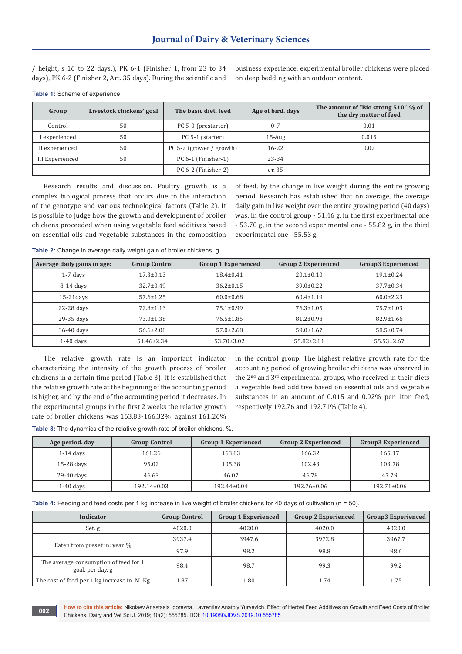/ height, s 16 to 22 days.), PK 6-1 (Finisher 1, from 23 to 34 days), PK 6-2 (Finisher 2, Art. 35 days). During the scientific and

business experience, experimental broiler chickens were placed on deep bedding with an outdoor content.

| Group           | Livestock chickens' goal | The basic diet, feed     | Age of bird. days | The amount of "Bio strong 510". % of<br>the dry matter of feed |
|-----------------|--------------------------|--------------------------|-------------------|----------------------------------------------------------------|
| Control         | 50                       | PC 5-0 (prestarter)      | $0 - 7$           | 0.01                                                           |
| I experienced   | 50                       | PC 5-1 (starter)         | $15$ -Aug         | 0.015                                                          |
| II experienced  | 50                       | PC 5-2 (grower / growth) | $16 - 22$         | 0.02                                                           |
| III Experienced | 50                       | PC 6-1 (Finisher-1)      | 23-34             |                                                                |
|                 |                          | PC 6-2 (Finisher-2)      | ст. 35            |                                                                |

**Table 1:** Scheme of experience.

Research results and discussion. Poultry growth is a complex biological process that occurs due to the interaction of the genotype and various technological factors (Table 2). It is possible to judge how the growth and development of broiler chickens proceeded when using vegetable feed additives based on essential oils and vegetable substances in the composition of feed, by the change in live weight during the entire growing period. Research has established that on average, the average daily gain in live weight over the entire growing period (40 days) was: in the control group - 51.46 g, in the first experimental one - 53.70 g, in the second experimental one - 55.82 g, in the third experimental one - 55.53 g.

**Table 2:** Change in average daily weight gain of broiler chickens. g.

| Average daily gains in age: | <b>Group Control</b> | <b>Group 1 Experienced</b> | <b>Group 2 Experienced</b> | Group3 Experienced |
|-----------------------------|----------------------|----------------------------|----------------------------|--------------------|
| $1-7$ days                  | $17.3 \pm 0.13$      | $18.4 \pm 0.41$            | $20.1 \pm 0.10$            | $19.1 \pm 0.24$    |
| $8-14$ days                 | $32.7 \pm 0.49$      | $36.2 \pm 0.15$            | $39.0 \pm 0.22$            | $37.7 \pm 0.34$    |
| $15-21$ days                | $57.6 \pm 1.25$      | $60.0 \pm 0.68$            | $60.4 \pm 1.19$            | $60.0 \pm 2.23$    |
| $22-28$ days                | $72.8 \pm 1.13$      | $75.1 \pm 0.99$            | $76.3 \pm 1.05$            | $75.7 \pm 1.03$    |
| 29-35 days                  | $73.0 \pm 1.38$      | $76.5 \pm 1.85$            | $81.2 \pm 0.98$            | $82.9 \pm 1.66$    |
| 36-40 days                  | $56.6 \pm 2.08$      | $57.0 \pm 2.68$            | $59.0 \pm 1.67$            | $58.5 \pm 0.74$    |
| $1-40$ days                 | $51.46 \pm 2.34$     | $53.70 \pm 3.02$           | $55.82 \pm 2.81$           | $55.53 \pm 2.67$   |

The relative growth rate is an important indicator characterizing the intensity of the growth process of broiler chickens in a certain time period (Table 3). It is established that the relative growth rate at the beginning of the accounting period is higher, and by the end of the accounting period it decreases. In the experimental groups in the first 2 weeks the relative growth rate of broiler chickens was 163.83-166.32%, against 161.26%

in the control group. The highest relative growth rate for the accounting period of growing broiler chickens was observed in the 2<sup>nd</sup> and 3<sup>rd</sup> experimental groups, who received in their diets a vegetable feed additive based on essential oils and vegetable substances in an amount of 0.015 and 0.02% per 1ton feed, respectively 192.76 and 192.71% (Table 4).

**Table 3:** The dynamics of the relative growth rate of broiler chickens. %.

| Age period. day | <b>Group Control</b> | <b>Group 1 Experienced</b> | <b>Group 2 Experienced</b> | Group3 Experienced |
|-----------------|----------------------|----------------------------|----------------------------|--------------------|
| $1-14$ days     | 161.26               | 163.83                     | 166.32                     | 165.17             |
| $15-28$ days    | 95.02                | 105.38                     | 102.43                     | 103.78             |
| 29-40 days      | 46.63                | 46.07                      | 46.78                      | 47.79              |
| $1-40$ days     | $192.14 \pm 0.03$    | 192.44±0.04                | 192.76±0.06                | $192.71 \pm 0.06$  |

**Table 4:** Feeding and feed costs per 1 kg increase in live weight of broiler chickens for 40 days of cultivation (n = 50).

| Indicator                                                 | <b>Group Control</b> | <b>Group 1 Experienced</b> | <b>Group 2 Experienced</b> | Group3 Experienced |
|-----------------------------------------------------------|----------------------|----------------------------|----------------------------|--------------------|
| Set.g                                                     | 4020.0               | 4020.0                     | 4020.0                     | 4020.0             |
|                                                           | 3937.4               | 3947.6                     | 3972.8                     | 3967.7             |
| Eaten from preset in: year %                              | 97.9                 | 98.2                       | 98.8                       | 98.6               |
| The average consumption of feed for 1<br>goal, per day, g | 98.4                 | 98.7                       | 99.3                       | 99.2               |
| The cost of feed per 1 kg increase in. M. Kg              | 1.87                 | 1.80                       | 1.74                       | 1.75               |

**How to cite this article:** Nikolaev Anastasia Igorevna, Lavrentiev Anatoly Yuryevich. Effect of Herbal Feed Additives on Growth and Feed Costs of Broiler 002 **Chickens. Dairy and Vet Sci J.** 2019; 10(2): 555785. DOI: [10.19080/JDVS.2019.10.555785](http://dx.doi.org/10.19080/JDVS.2019.10.555785) **00**